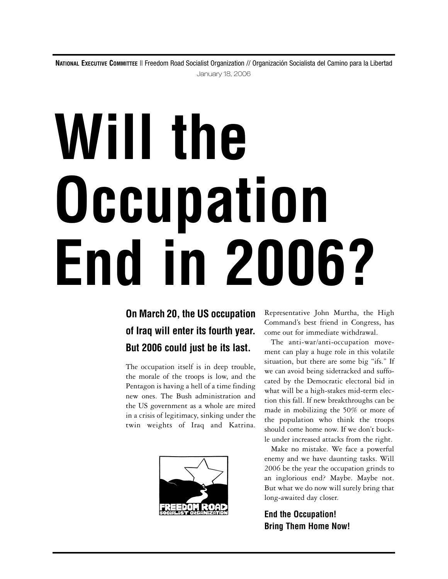**NATIONAL EXECUTIVE COMMITTEE** || Freedom Road Socialist Organization // Organización Socialista del Camino para la Libertad January 18, 2006

# **Will the Occupation End in 2006?**

## **On March 20, the US occupation of Iraq will enter its fourth year. But 2006 could just be its last.**

The occupation itself is in deep trouble, the morale of the troops is low, and the Pentagon is having a hell of a time finding new ones. The Bush administration and the US government as a whole are mired in a crisis of legitimacy, sinking under the twin weights of Iraq and Katrina.



Representative John Murtha, the High Command's best friend in Congress, has come out for immediate withdrawal.

The anti-war/anti-occupation movement can play a huge role in this volatile situation, but there are some big "ifs." If we can avoid being sidetracked and suffocated by the Democratic electoral bid in what will be a high-stakes mid-term election this fall. If new breakthroughs can be made in mobilizing the 50% or more of the population who think the troops should come home now. If we don't buckle under increased attacks from the right.

Make no mistake. We face a powerful enemy and we have daunting tasks. Will 2006 be the year the occupation grinds to an inglorious end? Maybe. Maybe not. But what we do now will surely bring that long-awaited day closer.

**End the Occupation! Bring Them Home Now!**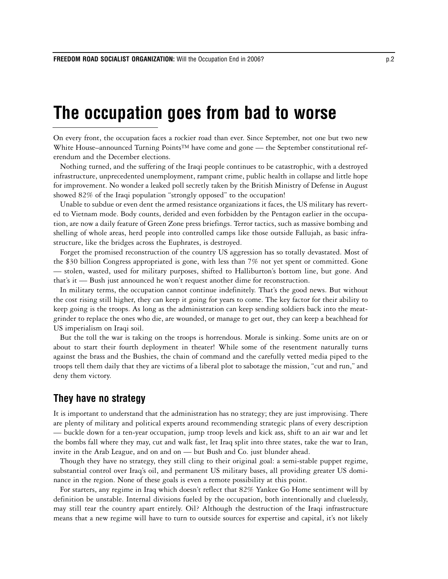## **The occupation goes from bad to worse**

On every front, the occupation faces a rockier road than ever. Since September, not one but two new White House–announced Turning Points™ have come and gone — the September constitutional referendum and the December elections.

Nothing turned, and the suffering of the Iraqi people continues to be catastrophic, with a destroyed infrastructure, unprecedented unemployment, rampant crime, public health in collapse and little hope for improvement. No wonder a leaked poll secretly taken by the British Ministry of Defense in August showed 82% of the Iraqi population "strongly opposed" to the occupation!

Unable to subdue or even dent the armed resistance organizations it faces, the US military has reverted to Vietnam mode. Body counts, derided and even forbidden by the Pentagon earlier in the occupation, are now a daily feature of Green Zone press briefings. Terror tactics, such as massive bombing and shelling of whole areas, herd people into controlled camps like those outside Fallujah, as basic infrastructure, like the bridges across the Euphrates, is destroyed.

Forget the promised reconstruction of the country US aggression has so totally devastated. Most of the \$30 billion Congress appropriated is gone, with less than 7% not yet spent or committed. Gone — stolen, wasted, used for military purposes, shifted to Halliburton's bottom line, but gone. And that's it — Bush just announced he won't request another dime for reconstruction.

In military terms, the occupation cannot continue indefinitely. That's the good news. But without the cost rising still higher, they can keep it going for years to come. The key factor for their ability to keep going is the troops. As long as the administration can keep sending soldiers back into the meatgrinder to replace the ones who die, are wounded, or manage to get out, they can keep a beachhead for US imperialism on Iraqi soil.

But the toll the war is taking on the troops is horrendous. Morale is sinking. Some units are on or about to start their fourth deployment in theater! While some of the resentment naturally turns against the brass and the Bushies, the chain of command and the carefully vetted media piped to the troops tell them daily that they are victims of a liberal plot to sabotage the mission, "cut and run," and deny them victory.

## **They have no strategy**

It is important to understand that the administration has no strategy; they are just improvising. There are plenty of military and political experts around recommending strategic plans of every description — buckle down for a ten-year occupation, jump troop levels and kick ass, shift to an air war and let the bombs fall where they may, cut and walk fast, let Iraq split into three states, take the war to Iran, invite in the Arab League, and on and on — but Bush and Co. just blunder ahead.

Though they have no strategy, they still cling to their original goal: a semi-stable puppet regime, substantial control over Iraq's oil, and permanent US military bases, all providing greater US dominance in the region. None of these goals is even a remote possibility at this point.

For starters, any regime in Iraq which doesn't reflect that 82% Yankee Go Home sentiment will by definition be unstable. Internal divisions fueled by the occupation, both intentionally and cluelessly, may still tear the country apart entirely. Oil? Although the destruction of the Iraqi infrastructure means that a new regime will have to turn to outside sources for expertise and capital, it's not likely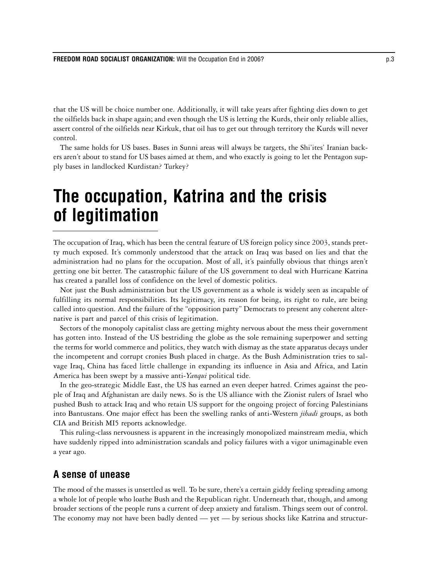that the US will be choice number one. Additionally, it will take years after fighting dies down to get the oilfields back in shape again; and even though the US is letting the Kurds, their only reliable allies, assert control of the oilfields near Kirkuk, that oil has to get out through territory the Kurds will never control.

The same holds for US bases. Bases in Sunni areas will always be targets, the Shi'ites' Iranian backers aren't about to stand for US bases aimed at them, and who exactly is going to let the Pentagon supply bases in landlocked Kurdistan? Turkey?

# **The occupation, Katrina and the crisis of legitimation**

The occupation of Iraq, which has been the central feature of US foreign policy since 2003, stands pretty much exposed. It's commonly understood that the attack on Iraq was based on lies and that the administration had no plans for the occupation. Most of all, it's painfully obvious that things aren't getting one bit better. The catastrophic failure of the US government to deal with Hurricane Katrina has created a parallel loss of confidence on the level of domestic politics.

Not just the Bush administration but the US government as a whole is widely seen as incapable of fulfilling its normal responsibilities. Its legitimacy, its reason for being, its right to rule, are being called into question. And the failure of the "opposition party" Democrats to present any coherent alternative is part and parcel of this crisis of legitimation.

Sectors of the monopoly capitalist class are getting mighty nervous about the mess their government has gotten into. Instead of the US bestriding the globe as the sole remaining superpower and setting the terms for world commerce and politics, they watch with dismay as the state apparatus decays under the incompetent and corrupt cronies Bush placed in charge. As the Bush Administration tries to salvage Iraq, China has faced little challenge in expanding its influence in Asia and Africa, and Latin America has been swept by a massive anti-*Yanqui* political tide.

In the geo-strategic Middle East, the US has earned an even deeper hatred. Crimes against the people of Iraq and Afghanistan are daily news. So is the US alliance with the Zionist rulers of Israel who pushed Bush to attack Iraq and who retain US support for the ongoing project of forcing Palestinians into Bantustans. One major effect has been the swelling ranks of anti-Western *jihadi* groups, as both CIA and British MI5 reports acknowledge.

This ruling-class nervousness is apparent in the increasingly monopolized mainstream media, which have suddenly ripped into administration scandals and policy failures with a vigor unimaginable even a year ago.

## **A sense of unease**

The mood of the masses is unsettled as well. To be sure, there's a certain giddy feeling spreading among a whole lot of people who loathe Bush and the Republican right. Underneath that, though, and among broader sections of the people runs a current of deep anxiety and fatalism. Things seem out of control. The economy may not have been badly dented — yet — by serious shocks like Katrina and structur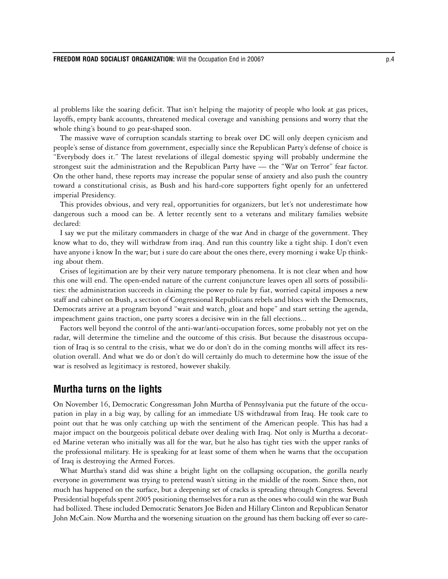al problems like the soaring deficit. That isn't helping the majority of people who look at gas prices, layoffs, empty bank accounts, threatened medical coverage and vanishing pensions and worry that the whole thing's bound to go pear-shaped soon.

The massive wave of corruption scandals starting to break over DC will only deepen cynicism and people's sense of distance from government, especially since the Republican Party's defense of choice is "Everybody does it." The latest revelations of illegal domestic spying will probably undermine the strongest suit the administration and the Republican Party have — the "War on Terror" fear factor. On the other hand, these reports may increase the popular sense of anxiety and also push the country toward a constitutional crisis, as Bush and his hard-core supporters fight openly for an unfettered imperial Presidency.

This provides obvious, and very real, opportunities for organizers, but let's not underestimate how dangerous such a mood can be. A letter recently sent to a veterans and military families website declared:

I say we put the military commanders in charge of the war And in charge of the government. They know what to do, they will withdraw from iraq. And run this country like a tight ship. I don't even have anyone i know In the war; but i sure do care about the ones there, every morning i wake Up thinking about them.

Crises of legitimation are by their very nature temporary phenomena. It is not clear when and how this one will end. The open-ended nature of the current conjuncture leaves open all sorts of possibilities: the administration succeeds in claiming the power to rule by fiat, worried capital imposes a new staff and cabinet on Bush, a section of Congressional Republicans rebels and blocs with the Democrats, Democrats arrive at a program beyond "wait and watch, gloat and hope" and start setting the agenda, impeachment gains traction, one party scores a decisive win in the fall elections...

Factors well beyond the control of the anti-war/anti-occupation forces, some probably not yet on the radar, will determine the timeline and the outcome of this crisis. But because the disastrous occupation of Iraq is so central to the crisis, what we do or don't do in the coming months will affect its resolution overall. And what we do or don't do will certainly do much to determine how the issue of the war is resolved as legitimacy is restored, however shakily.

## **Murtha turns on the lights**

On November 16, Democratic Congressman John Murtha of Pennsylvania put the future of the occupation in play in a big way, by calling for an immediate US withdrawal from Iraq. He took care to point out that he was only catching up with the sentiment of the American people. This has had a major impact on the bourgeois political debate over dealing with Iraq. Not only is Murtha a decorated Marine veteran who initially was all for the war, but he also has tight ties with the upper ranks of the professional military. He is speaking for at least some of them when he warns that the occupation of Iraq is destroying the Armed Forces.

What Murtha's stand did was shine a bright light on the collapsing occupation, the gorilla nearly everyone in government was trying to pretend wasn't sitting in the middle of the room. Since then, not much has happened on the surface, but a deepening set of cracks is spreading through Congress. Several Presidential hopefuls spent 2005 positioning themselves for a run as the ones who could win the war Bush had bollixed. These included Democratic Senators Joe Biden and Hillary Clinton and Republican Senator John McCain. Now Murtha and the worsening situation on the ground has them backing off ever so care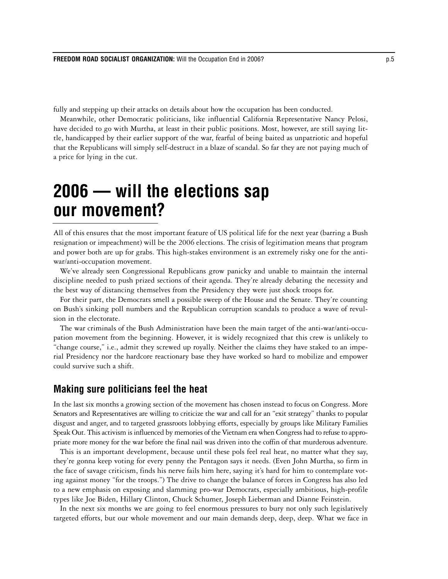fully and stepping up their attacks on details about how the occupation has been conducted.

Meanwhile, other Democratic politicians, like influential California Representative Nancy Pelosi, have decided to go with Murtha, at least in their public positions. Most, however, are still saying little, handicapped by their earlier support of the war, fearful of being baited as unpatriotic and hopeful that the Republicans will simply self-destruct in a blaze of scandal. So far they are not paying much of a price for lying in the cut.

# **2006 — will the elections sap our movement?**

All of this ensures that the most important feature of US political life for the next year (barring a Bush resignation or impeachment) will be the 2006 elections. The crisis of legitimation means that program and power both are up for grabs. This high-stakes environment is an extremely risky one for the antiwar/anti-occupation movement.

We've already seen Congressional Republicans grow panicky and unable to maintain the internal discipline needed to push prized sections of their agenda. They're already debating the necessity and the best way of distancing themselves from the Presidency they were just shock troops for.

For their part, the Democrats smell a possible sweep of the House and the Senate. They're counting on Bush's sinking poll numbers and the Republican corruption scandals to produce a wave of revulsion in the electorate.

The war criminals of the Bush Administration have been the main target of the anti-war/anti-occupation movement from the beginning. However, it is widely recognized that this crew is unlikely to "change course," i.e., admit they screwed up royally. Neither the claims they have staked to an imperial Presidency nor the hardcore reactionary base they have worked so hard to mobilize and empower could survive such a shift.

## **Making sure politicians feel the heat**

In the last six months a growing section of the movement has chosen instead to focus on Congress. More Senators and Representatives are willing to criticize the war and call for an "exit strategy" thanks to popular disgust and anger, and to targeted grassroots lobbying efforts, especially by groups like Military Families Speak Out. This activism is influenced by memories of the Vietnam era when Congress had to refuse to appropriate more money for the war before the final nail was driven into the coffin of that murderous adventure.

This is an important development, because until these pols feel real heat, no matter what they say, they're gonna keep voting for every penny the Pentagon says it needs. (Even John Murtha, so firm in the face of savage criticism, finds his nerve fails him here, saying it's hard for him to contemplate voting against money "for the troops.") The drive to change the balance of forces in Congress has also led to a new emphasis on exposing and slamming pro-war Democrats, especially ambitious, high-profile types like Joe Biden, Hillary Clinton, Chuck Schumer, Joseph Lieberman and Dianne Feinstein.

In the next six months we are going to feel enormous pressures to bury not only such legislatively targeted efforts, but our whole movement and our main demands deep, deep, deep. What we face in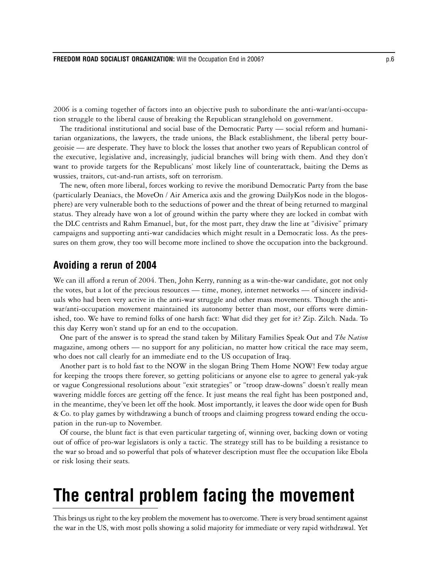2006 is a coming together of factors into an objective push to subordinate the anti-war/anti-occupation struggle to the liberal cause of breaking the Republican stranglehold on government.

The traditional institutional and social base of the Democratic Party — social reform and humanitarian organizations, the lawyers, the trade unions, the Black establishment, the liberal petty bourgeoisie — are desperate. They have to block the losses that another two years of Republican control of the executive, legislative and, increasingly, judicial branches will bring with them. And they don't want to provide targets for the Republicans' most likely line of counterattack, baiting the Dems as wussies, traitors, cut-and-run artists, soft on terrorism.

The new, often more liberal, forces working to revive the moribund Democratic Party from the base (particularly Deaniacs, the MoveOn / Air America axis and the growing DailyKos node in the blogosphere) are very vulnerable both to the seductions of power and the threat of being returned to marginal status. They already have won a lot of ground within the party where they are locked in combat with the DLC centrists and Rahm Emanuel, but, for the most part, they draw the line at "divisive" primary campaigns and supporting anti-war candidacies which might result in a Democratic loss. As the pressures on them grow, they too will become more inclined to shove the occupation into the background.

#### **Avoiding a rerun of 2004**

We can ill afford a rerun of 2004. Then, John Kerry, running as a win-the-war candidate, got not only the votes, but a lot of the precious resources — time, money, internet networks — of sincere individuals who had been very active in the anti-war struggle and other mass movements. Though the antiwar/anti-occupation movement maintained its autonomy better than most, our efforts were diminished, too. We have to remind folks of one harsh fact: What did they get for it? Zip. Zilch. Nada. To this day Kerry won't stand up for an end to the occupation.

One part of the answer is to spread the stand taken by Military Families Speak Out and *The Nation* magazine, among others — no support for any politician, no matter how critical the race may seem, who does not call clearly for an immediate end to the US occupation of Iraq.

Another part is to hold fast to the NOW in the slogan Bring Them Home NOW! Few today argue for keeping the troops there forever, so getting politicians or anyone else to agree to general yak-yak or vague Congressional resolutions about "exit strategies" or "troop draw-downs" doesn't really mean wavering middle forces are getting off the fence. It just means the real fight has been postponed and, in the meantime, they've been let off the hook. Most importantly, it leaves the door wide open for Bush & Co. to play games by withdrawing a bunch of troops and claiming progress toward ending the occupation in the run-up to November.

Of course, the blunt fact is that even particular targeting of, winning over, backing down or voting out of office of pro-war legislators is only a tactic. The strategy still has to be building a resistance to the war so broad and so powerful that pols of whatever description must flee the occupation like Ebola or risk losing their seats.

# **The central problem facing the movement**

This brings us right to the key problem the movement has to overcome. There is very broad sentiment against the war in the US, with most polls showing a solid majority for immediate or very rapid withdrawal. Yet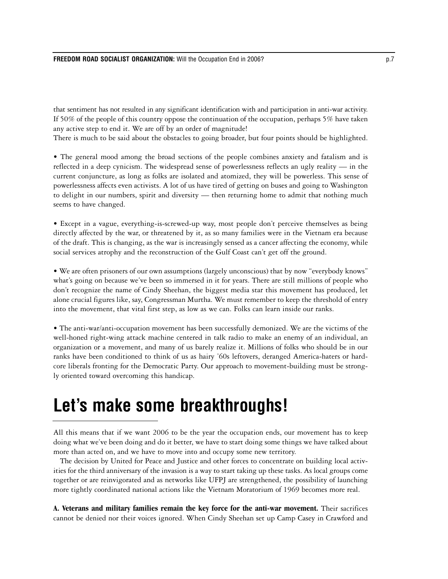that sentiment has not resulted in any significant identification with and participation in anti-war activity. If 50% of the people of this country oppose the continuation of the occupation, perhaps 5% have taken any active step to end it. We are off by an order of magnitude!

There is much to be said about the obstacles to going broader, but four points should be highlighted.

• The general mood among the broad sections of the people combines anxiety and fatalism and is reflected in a deep cynicism. The widespread sense of powerlessness reflects an ugly reality — in the current conjuncture, as long as folks are isolated and atomized, they will be powerless. This sense of powerlessness affects even activists. A lot of us have tired of getting on buses and going to Washington to delight in our numbers, spirit and diversity — then returning home to admit that nothing much seems to have changed.

• Except in a vague, everything-is-screwed-up way, most people don't perceive themselves as being directly affected by the war, or threatened by it, as so many families were in the Vietnam era because of the draft. This is changing, as the war is increasingly sensed as a cancer affecting the economy, while social services atrophy and the reconstruction of the Gulf Coast can't get off the ground.

• We are often prisoners of our own assumptions (largely unconscious) that by now "everybody knows" what's going on because we've been so immersed in it for years. There are still millions of people who don't recognize the name of Cindy Sheehan, the biggest media star this movement has produced, let alone crucial figures like, say, Congressman Murtha. We must remember to keep the threshold of entry into the movement, that vital first step, as low as we can. Folks can learn inside our ranks.

• The anti-war/anti-occupation movement has been successfully demonized. We are the victims of the well-honed right-wing attack machine centered in talk radio to make an enemy of an individual, an organization or a movement, and many of us barely realize it. Millions of folks who should be in our ranks have been conditioned to think of us as hairy '60s leftovers, deranged America-haters or hardcore liberals fronting for the Democratic Party. Our approach to movement-building must be strongly oriented toward overcoming this handicap.

# **Let's make some breakthroughs!**

All this means that if we want 2006 to be the year the occupation ends, our movement has to keep doing what we've been doing and do it better, we have to start doing some things we have talked about more than acted on, and we have to move into and occupy some new territory.

The decision by United for Peace and Justice and other forces to concentrate on building local activities for the third anniversary of the invasion is a way to start taking up these tasks. As local groups come together or are reinvigorated and as networks like UFPJ are strengthened, the possibility of launching more tightly coordinated national actions like the Vietnam Moratorium of 1969 becomes more real.

**A. Veterans and military families remain the key force for the anti-war movement.** Their sacrifices cannot be denied nor their voices ignored. When Cindy Sheehan set up Camp Casey in Crawford and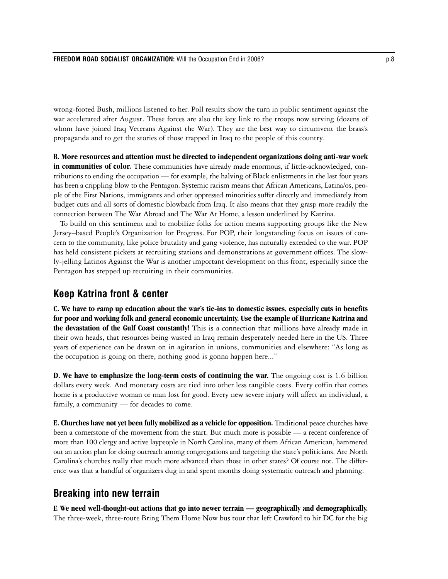wrong-footed Bush, millions listened to her. Poll results show the turn in public sentiment against the war accelerated after August. These forces are also the key link to the troops now serving (dozens of whom have joined Iraq Veterans Against the War). They are the best way to circumvent the brass's propaganda and to get the stories of those trapped in Iraq to the people of this country.

**B. More resources and attention must be directed to independent organizations doing anti-war work in communities of color.** These communities have already made enormous, if little-acknowledged, contributions to ending the occupation — for example, the halving of Black enlistments in the last four years has been a crippling blow to the Pentagon. Systemic racism means that African Americans, Latina/os, people of the First Nations, immigrants and other oppressed minorities suffer directly and immediately from budget cuts and all sorts of domestic blowback from Iraq. It also means that they grasp more readily the connection between The War Abroad and The War At Home, a lesson underlined by Katrina.

To build on this sentiment and to mobilize folks for action means supporting groups like the New Jersey–based People's Organization for Progress. For POP, their longstanding focus on issues of concern to the community, like police brutality and gang violence, has naturally extended to the war. POP has held consistent pickets at recruiting stations and demonstrations at government offices. The slowly-jelling Latinos Against the War is another important development on this front, especially since the Pentagon has stepped up recruiting in their communities.

## **Keep Katrina front & center**

**C. We have to ramp up education about the war's tie-ins to domestic issues, especially cuts in benefits for poor and working folk and general economic uncertainty. Use the example of Hurricane Katrina and the devastation of the Gulf Coast constantly!** This is a connection that millions have already made in their own heads, that resources being wasted in Iraq remain desperately needed here in the US. Three years of experience can be drawn on in agitation in unions, communities and elsewhere: "As long as the occupation is going on there, nothing good is gonna happen here..."

**D. We have to emphasize the long-term costs of continuing the war.** The ongoing cost is 1.6 billion dollars every week. And monetary costs are tied into other less tangible costs. Every coffin that comes home is a productive woman or man lost for good. Every new severe injury will affect an individual, a family, a community — for decades to come.

**E. Churches have not yet been fully mobilized as a vehicle for opposition.** Traditional peace churches have been a cornerstone of the movement from the start. But much more is possible — a recent conference of more than 100 clergy and active laypeople in North Carolina, many of them African American, hammered out an action plan for doing outreach among congregations and targeting the state's politicians. Are North Carolina's churches really that much more advanced than those in other states? Of course not. The difference was that a handful of organizers dug in and spent months doing systematic outreach and planning.

## **Breaking into new terrain**

**F. We need well-thought-out actions that go into newer terrain — geographically and demographically.** The three-week, three-route Bring Them Home Now bus tour that left Crawford to hit DC for the big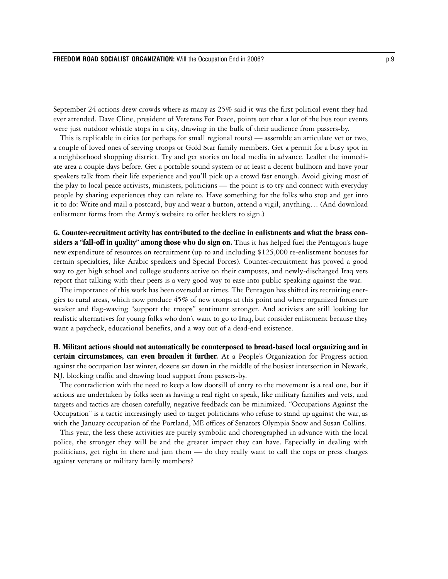September 24 actions drew crowds where as many as 25% said it was the first political event they had ever attended. Dave Cline, president of Veterans For Peace, points out that a lot of the bus tour events were just outdoor whistle stops in a city, drawing in the bulk of their audience from passers-by.

This is replicable in cities (or perhaps for small regional tours) — assemble an articulate vet or two, a couple of loved ones of serving troops or Gold Star family members. Get a permit for a busy spot in a neighborhood shopping district. Try and get stories on local media in advance. Leaflet the immediate area a couple days before. Get a portable sound system or at least a decent bullhorn and have your speakers talk from their life experience and you'll pick up a crowd fast enough. Avoid giving most of the play to local peace activists, ministers, politicians — the point is to try and connect with everyday people by sharing experiences they can relate to. Have something for the folks who stop and get into it to do: Write and mail a postcard, buy and wear a button, attend a vigil, anything… (And download enlistment forms from the Army's website to offer hecklers to sign.)

**G. Counter-recruitment activity has contributed to the decline in enlistments and what the brass considers a "fall-off in quality" among those who do sign on.** Thus it has helped fuel the Pentagon's huge new expenditure of resources on recruitment (up to and including \$125,000 re-enlistment bonuses for certain specialties, like Arabic speakers and Special Forces). Counter-recruitment has proved a good way to get high school and college students active on their campuses, and newly-discharged Iraq vets report that talking with their peers is a very good way to ease into public speaking against the war.

The importance of this work has been oversold at times. The Pentagon has shifted its recruiting energies to rural areas, which now produce 45% of new troops at this point and where organized forces are weaker and flag-waving "support the troops" sentiment stronger. And activists are still looking for realistic alternatives for young folks who don't want to go to Iraq, but consider enlistment because they want a paycheck, educational benefits, and a way out of a dead-end existence.

**H. Militant actions should not automatically be counterposed to broad-based local organizing and in certain circumstances, can even broaden it further.** At a People's Organization for Progress action against the occupation last winter, dozens sat down in the middle of the busiest intersection in Newark, NJ, blocking traffic and drawing loud support from passers-by.

The contradiction with the need to keep a low doorsill of entry to the movement is a real one, but if actions are undertaken by folks seen as having a real right to speak, like military families and vets, and targets and tactics are chosen carefully, negative feedback can be minimized. "Occupations Against the Occupation" is a tactic increasingly used to target politicians who refuse to stand up against the war, as with the January occupation of the Portland, ME offices of Senators Olympia Snow and Susan Collins.

This year, the less these activities are purely symbolic and choreographed in advance with the local police, the stronger they will be and the greater impact they can have. Especially in dealing with politicians, get right in there and jam them — do they really want to call the cops or press charges against veterans or military family members?